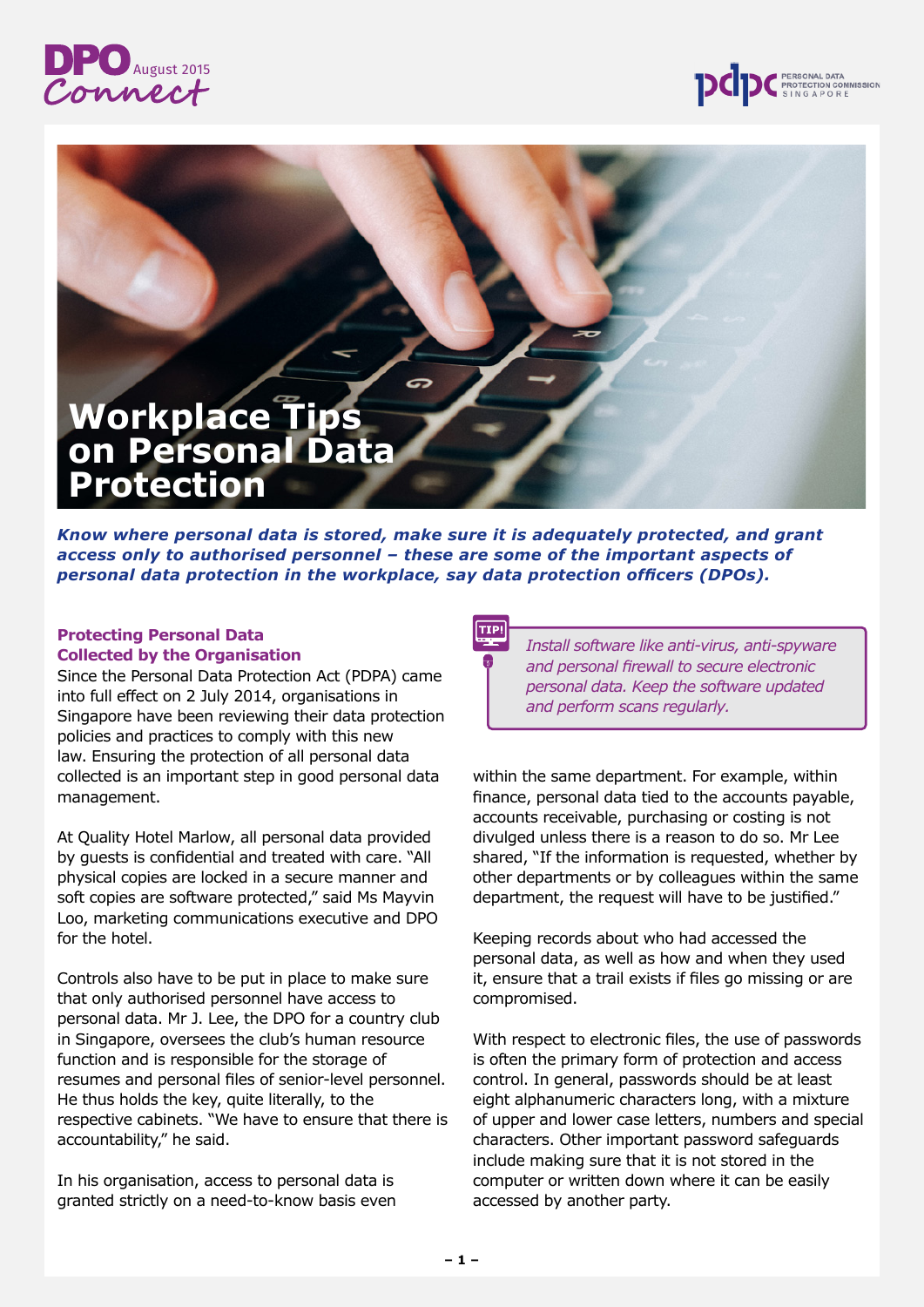



# **Workplace Tips on Personal Data Protection**

*Know where personal data is stored, make sure it is adequately protected, and grant access only to authorised personnel – these are some of the important aspects of personal data protection in the workplace, say data protection officers (DPOs).*

## **Protecting Personal Data Collected by the Organisation**

Since the Personal Data Protection Act (PDPA) came into full effect on 2 July 2014, organisations in Singapore have been reviewing their data protection policies and practices to comply with this new law. Ensuring the protection of all personal data collected is an important step in good personal data management.

At Quality Hotel Marlow, all personal data provided by guests is confidential and treated with care. "All physical copies are locked in a secure manner and soft copies are software protected," said Ms Mayvin Loo, marketing communications executive and DPO for the hotel.

Controls also have to be put in place to make sure that only authorised personnel have access to personal data. Mr J. Lee, the DPO for a country club in Singapore, oversees the club's human resource function and is responsible for the storage of resumes and personal files of senior-level personnel. He thus holds the key, quite literally, to the respective cabinets. "We have to ensure that there is accountability," he said.

In his organisation, access to personal data is granted strictly on a need-to-know basis even



*Install software like anti-virus, anti-spyware and personal firewall to secure electronic personal data. Keep the software updated and perform scans regularly.*

within the same department. For example, within finance, personal data tied to the accounts payable, accounts receivable, purchasing or costing is not divulged unless there is a reason to do so. Mr Lee shared, "If the information is requested, whether by other departments or by colleagues within the same department, the request will have to be justified."

Keeping records about who had accessed the personal data, as well as how and when they used it, ensure that a trail exists if files go missing or are compromised.

With respect to electronic files, the use of passwords is often the primary form of protection and access control. In general, passwords should be at least eight alphanumeric characters long, with a mixture of upper and lower case letters, numbers and special characters. Other important password safeguards include making sure that it is not stored in the computer or written down where it can be easily accessed by another party.